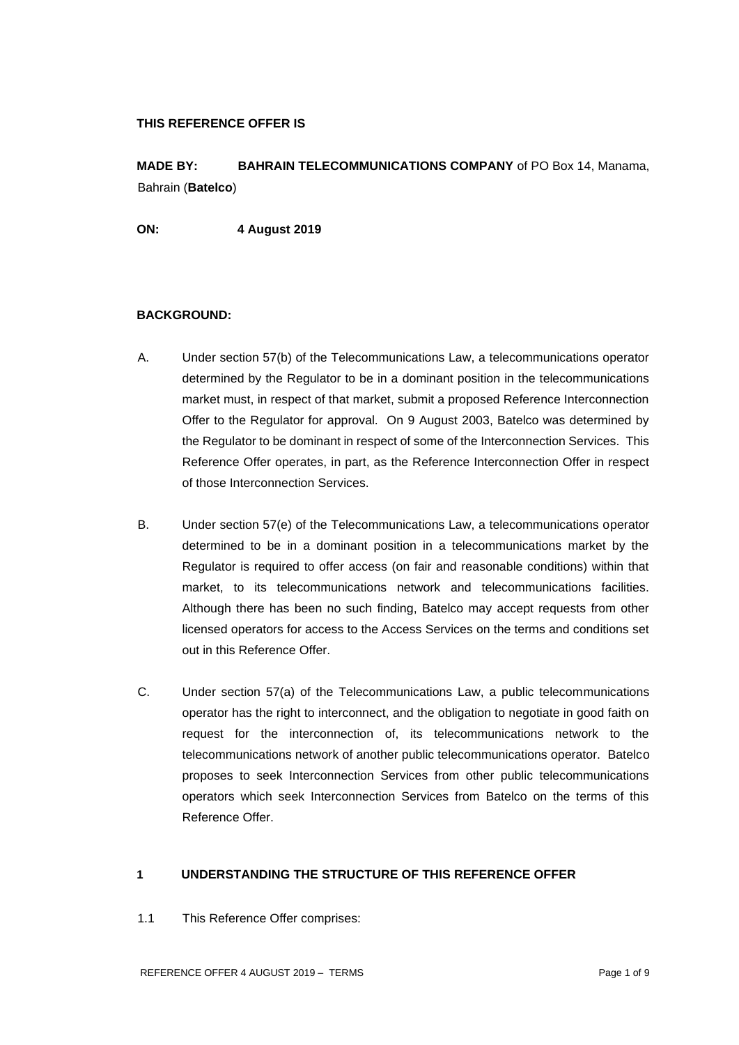#### **THIS REFERENCE OFFER IS**

**MADE BY: BAHRAIN TELECOMMUNICATIONS COMPANY** of PO Box 14, Manama, Bahrain (**Batelco**)

**ON: 4 August 2019**

#### **BACKGROUND:**

- A. Under section 57(b) of the Telecommunications Law, a telecommunications operator determined by the Regulator to be in a dominant position in the telecommunications market must, in respect of that market, submit a proposed Reference Interconnection Offer to the Regulator for approval. On 9 August 2003, Batelco was determined by the Regulator to be dominant in respect of some of the Interconnection Services. This Reference Offer operates, in part, as the Reference Interconnection Offer in respect of those Interconnection Services.
- B. Under section 57(e) of the Telecommunications Law, a telecommunications operator determined to be in a dominant position in a telecommunications market by the Regulator is required to offer access (on fair and reasonable conditions) within that market, to its telecommunications network and telecommunications facilities. Although there has been no such finding, Batelco may accept requests from other licensed operators for access to the Access Services on the terms and conditions set out in this Reference Offer.
- C. Under section 57(a) of the Telecommunications Law, a public telecommunications operator has the right to interconnect, and the obligation to negotiate in good faith on request for the interconnection of, its telecommunications network to the telecommunications network of another public telecommunications operator. Batelco proposes to seek Interconnection Services from other public telecommunications operators which seek Interconnection Services from Batelco on the terms of this Reference Offer.

# **1 UNDERSTANDING THE STRUCTURE OF THIS REFERENCE OFFER**

1.1 This Reference Offer comprises: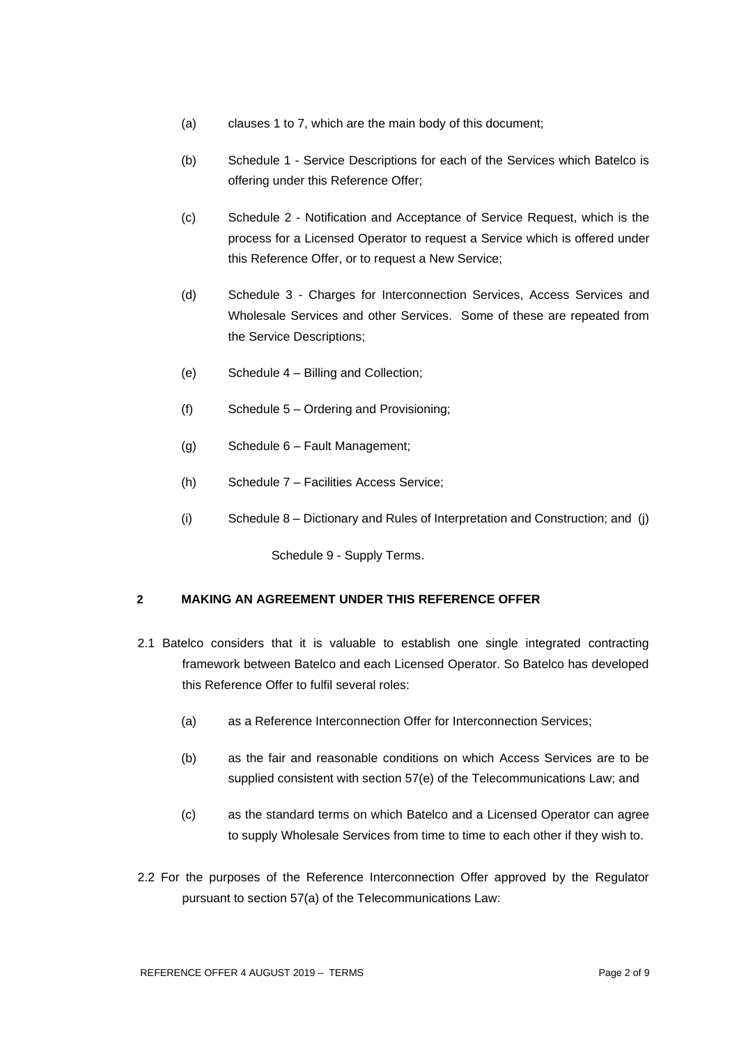- (a) clauses 1 to 7, which are the main body of this document;
- (b) Schedule 1 Service Descriptions for each of the Services which Batelco is offering under this Reference Offer;
- (c) Schedule 2 Notification and Acceptance of Service Request, which is the process for a Licensed Operator to request a Service which is offered under this Reference Offer, or to request a New Service;
- (d) Schedule 3 Charges for Interconnection Services, Access Services and Wholesale Services and other Services. Some of these are repeated from the Service Descriptions;
- (e) Schedule 4 Billing and Collection;
- (f) Schedule 5 Ordering and Provisioning;
- (g) Schedule 6 Fault Management;
- (h) Schedule 7 Facilities Access Service;
- (i) Schedule 8 Dictionary and Rules of Interpretation and Construction; and (j)

Schedule 9 - Supply Terms.

# **2 MAKING AN AGREEMENT UNDER THIS REFERENCE OFFER**

- 2.1 Batelco considers that it is valuable to establish one single integrated contracting framework between Batelco and each Licensed Operator. So Batelco has developed this Reference Offer to fulfil several roles:
	- (a) as a Reference Interconnection Offer for Interconnection Services;
	- (b) as the fair and reasonable conditions on which Access Services are to be supplied consistent with section 57(e) of the Telecommunications Law; and
	- (c) as the standard terms on which Batelco and a Licensed Operator can agree to supply Wholesale Services from time to time to each other if they wish to.
- 2.2 For the purposes of the Reference Interconnection Offer approved by the Regulator pursuant to section 57(a) of the Telecommunications Law: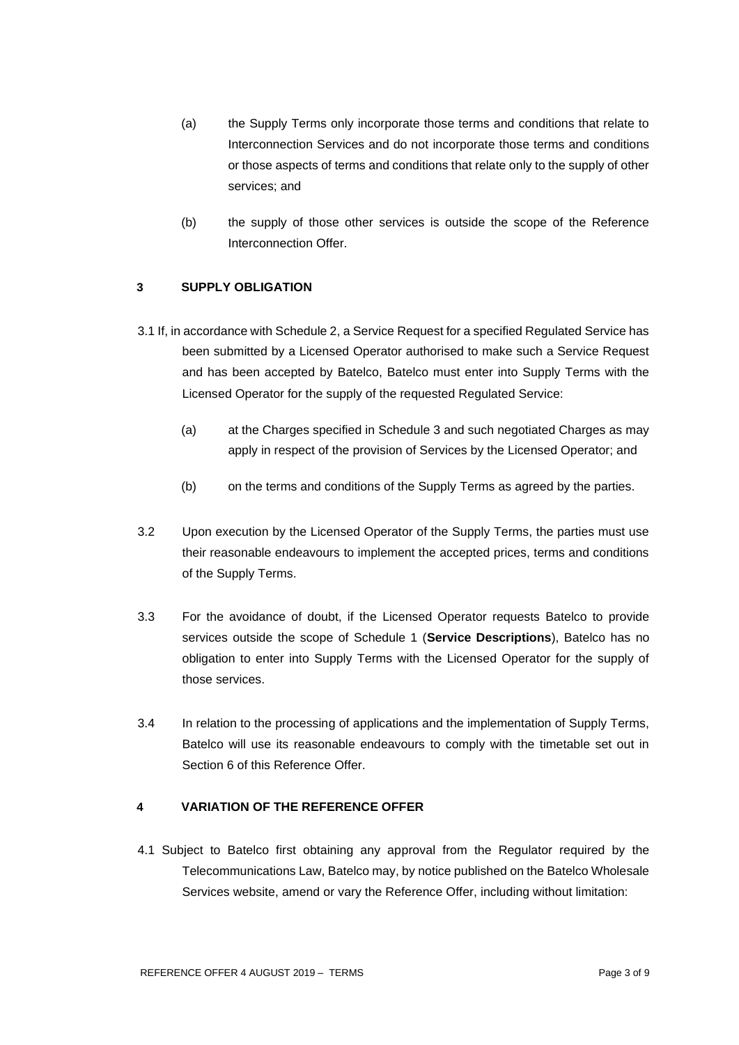- (a) the Supply Terms only incorporate those terms and conditions that relate to Interconnection Services and do not incorporate those terms and conditions or those aspects of terms and conditions that relate only to the supply of other services; and
- (b) the supply of those other services is outside the scope of the Reference Interconnection Offer.

## **3 SUPPLY OBLIGATION**

- 3.1 If, in accordance with Schedule 2, a Service Request for a specified Regulated Service has been submitted by a Licensed Operator authorised to make such a Service Request and has been accepted by Batelco, Batelco must enter into Supply Terms with the Licensed Operator for the supply of the requested Regulated Service:
	- (a) at the Charges specified in Schedule 3 and such negotiated Charges as may apply in respect of the provision of Services by the Licensed Operator; and
	- (b) on the terms and conditions of the Supply Terms as agreed by the parties.
- 3.2 Upon execution by the Licensed Operator of the Supply Terms, the parties must use their reasonable endeavours to implement the accepted prices, terms and conditions of the Supply Terms.
- 3.3 For the avoidance of doubt, if the Licensed Operator requests Batelco to provide services outside the scope of Schedule 1 (**Service Descriptions**), Batelco has no obligation to enter into Supply Terms with the Licensed Operator for the supply of those services.
- 3.4 In relation to the processing of applications and the implementation of Supply Terms, Batelco will use its reasonable endeavours to comply with the timetable set out in Section 6 of this Reference Offer.

#### **4 VARIATION OF THE REFERENCE OFFER**

4.1 Subject to Batelco first obtaining any approval from the Regulator required by the Telecommunications Law, Batelco may, by notice published on the Batelco Wholesale Services website, amend or vary the Reference Offer, including without limitation: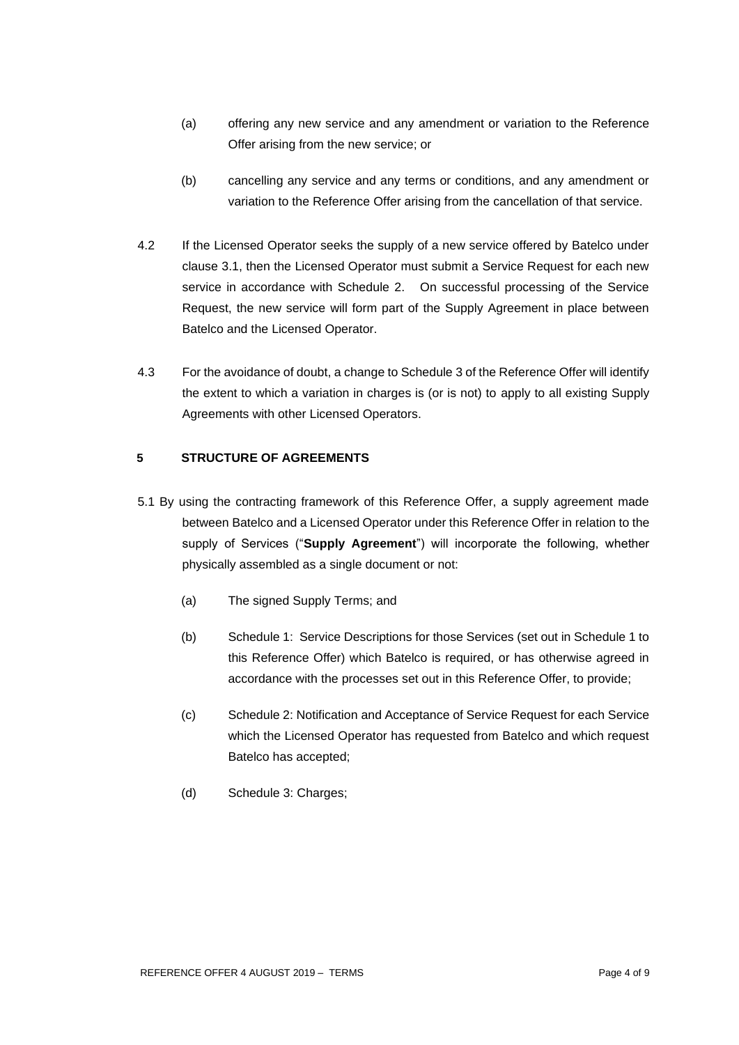- (a) offering any new service and any amendment or variation to the Reference Offer arising from the new service; or
- (b) cancelling any service and any terms or conditions, and any amendment or variation to the Reference Offer arising from the cancellation of that service.
- 4.2 If the Licensed Operator seeks the supply of a new service offered by Batelco under clause 3.1, then the Licensed Operator must submit a Service Request for each new service in accordance with Schedule 2. On successful processing of the Service Request, the new service will form part of the Supply Agreement in place between Batelco and the Licensed Operator.
- 4.3 For the avoidance of doubt, a change to Schedule 3 of the Reference Offer will identify the extent to which a variation in charges is (or is not) to apply to all existing Supply Agreements with other Licensed Operators.

## **5 STRUCTURE OF AGREEMENTS**

- 5.1 By using the contracting framework of this Reference Offer, a supply agreement made between Batelco and a Licensed Operator under this Reference Offer in relation to the supply of Services ("**Supply Agreement**") will incorporate the following, whether physically assembled as a single document or not:
	- (a) The signed Supply Terms; and
	- (b) Schedule 1: Service Descriptions for those Services (set out in Schedule 1 to this Reference Offer) which Batelco is required, or has otherwise agreed in accordance with the processes set out in this Reference Offer, to provide;
	- (c) Schedule 2: Notification and Acceptance of Service Request for each Service which the Licensed Operator has requested from Batelco and which request Batelco has accepted;
	- (d) Schedule 3: Charges;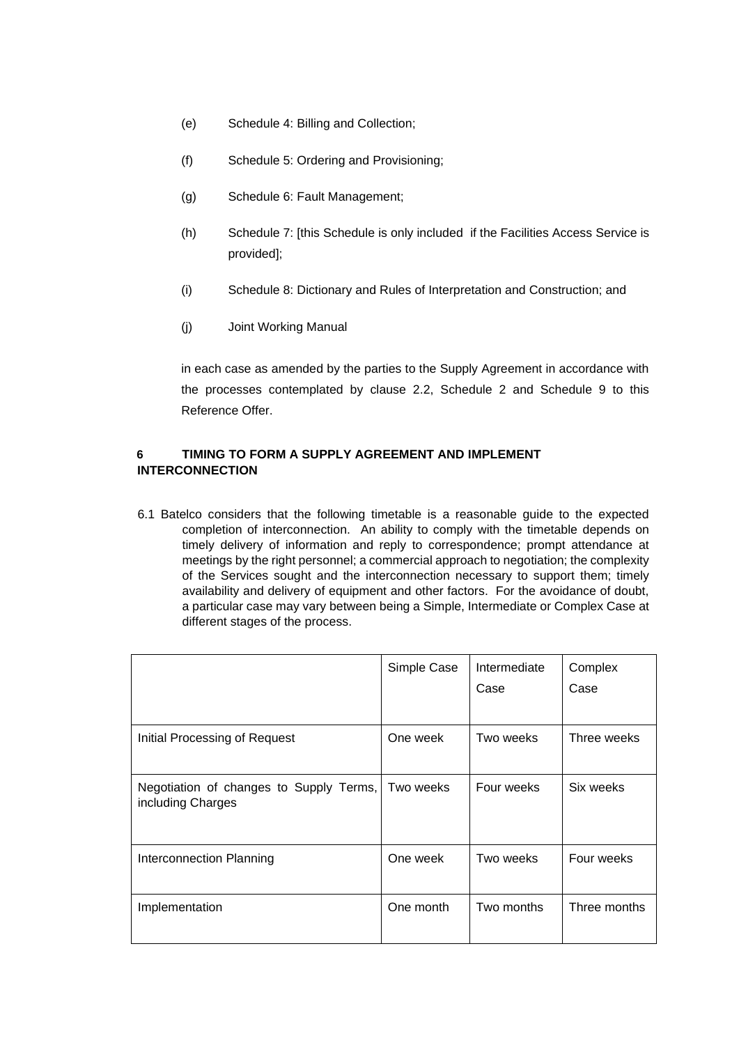- (e) Schedule 4: Billing and Collection;
- (f) Schedule 5: Ordering and Provisioning;
- (g) Schedule 6: Fault Management;
- (h) Schedule 7: [this Schedule is only included if the Facilities Access Service is provided];
- (i) Schedule 8: Dictionary and Rules of Interpretation and Construction; and
- (j) Joint Working Manual

in each case as amended by the parties to the Supply Agreement in accordance with the processes contemplated by clause 2.2, Schedule 2 and Schedule 9 to this Reference Offer.

## **6 TIMING TO FORM A SUPPLY AGREEMENT AND IMPLEMENT INTERCONNECTION**

6.1 Batelco considers that the following timetable is a reasonable guide to the expected completion of interconnection. An ability to comply with the timetable depends on timely delivery of information and reply to correspondence; prompt attendance at meetings by the right personnel; a commercial approach to negotiation; the complexity of the Services sought and the interconnection necessary to support them; timely availability and delivery of equipment and other factors. For the avoidance of doubt, a particular case may vary between being a Simple, Intermediate or Complex Case at different stages of the process.

|                                                              | Simple Case | Intermediate<br>Case | Complex<br>Case |
|--------------------------------------------------------------|-------------|----------------------|-----------------|
| Initial Processing of Request                                | One week    | Two weeks            | Three weeks     |
| Negotiation of changes to Supply Terms,<br>including Charges | Two weeks   | Four weeks           | Six weeks       |
| Interconnection Planning                                     | One week    | Two weeks            | Four weeks      |
| Implementation                                               | One month   | Two months           | Three months    |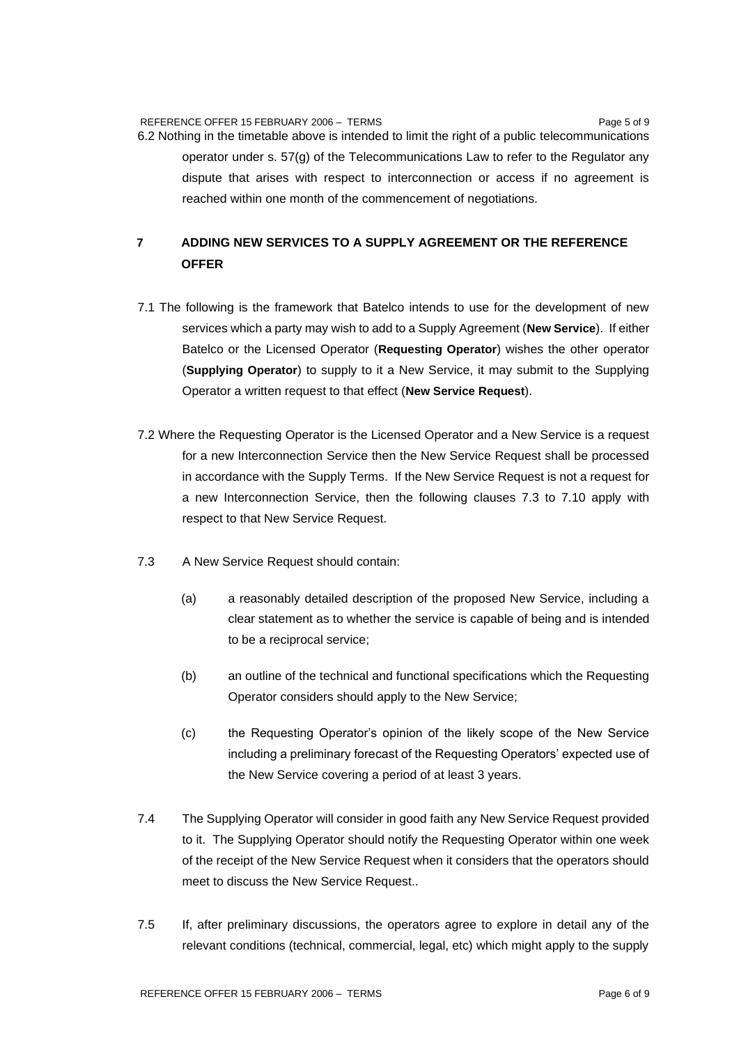REFERENCE OFFER 15 FEBRUARY 2006 - TERMS PAGE 15 FEBRUARY 2006 - PAGE 15 FEBRUARY 2006 - PAGE 15 FEBRUARY 2006 -

6.2 Nothing in the timetable above is intended to limit the right of a public telecommunications operator under s. 57(g) of the Telecommunications Law to refer to the Regulator any dispute that arises with respect to interconnection or access if no agreement is reached within one month of the commencement of negotiations.

# **7 ADDING NEW SERVICES TO A SUPPLY AGREEMENT OR THE REFERENCE OFFER**

- 7.1 The following is the framework that Batelco intends to use for the development of new services which a party may wish to add to a Supply Agreement (**New Service**). If either Batelco or the Licensed Operator (**Requesting Operator**) wishes the other operator (**Supplying Operator**) to supply to it a New Service, it may submit to the Supplying Operator a written request to that effect (**New Service Request**).
- 7.2 Where the Requesting Operator is the Licensed Operator and a New Service is a request for a new Interconnection Service then the New Service Request shall be processed in accordance with the Supply Terms. If the New Service Request is not a request for a new Interconnection Service, then the following clauses 7.3 to 7.10 apply with respect to that New Service Request.
- 7.3 A New Service Request should contain:
	- (a) a reasonably detailed description of the proposed New Service, including a clear statement as to whether the service is capable of being and is intended to be a reciprocal service;
	- (b) an outline of the technical and functional specifications which the Requesting Operator considers should apply to the New Service;
	- (c) the Requesting Operator's opinion of the likely scope of the New Service including a preliminary forecast of the Requesting Operators' expected use of the New Service covering a period of at least 3 years.
- 7.4 The Supplying Operator will consider in good faith any New Service Request provided to it. The Supplying Operator should notify the Requesting Operator within one week of the receipt of the New Service Request when it considers that the operators should meet to discuss the New Service Request..
- 7.5 If, after preliminary discussions, the operators agree to explore in detail any of the relevant conditions (technical, commercial, legal, etc) which might apply to the supply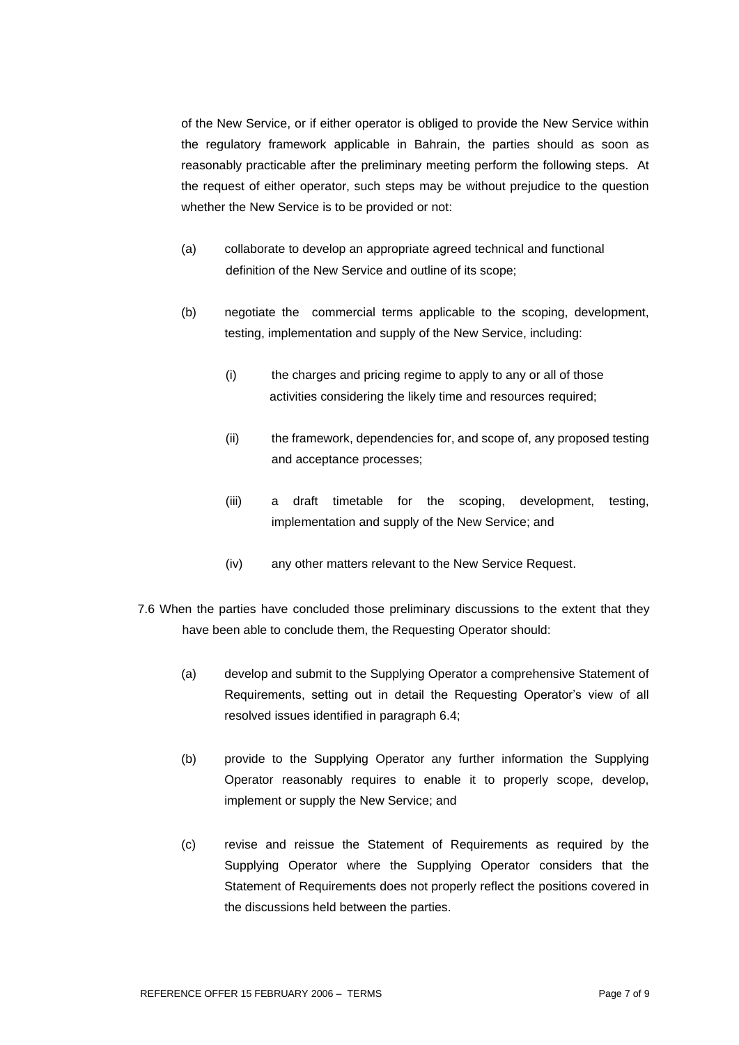of the New Service, or if either operator is obliged to provide the New Service within the regulatory framework applicable in Bahrain, the parties should as soon as reasonably practicable after the preliminary meeting perform the following steps. At the request of either operator, such steps may be without prejudice to the question whether the New Service is to be provided or not:

- (a) collaborate to develop an appropriate agreed technical and functional definition of the New Service and outline of its scope;
- (b) negotiate the commercial terms applicable to the scoping, development, testing, implementation and supply of the New Service, including:
	- (i) the charges and pricing regime to apply to any or all of those activities considering the likely time and resources required;
	- (ii) the framework, dependencies for, and scope of, any proposed testing and acceptance processes;
	- (iii) a draft timetable for the scoping, development, testing, implementation and supply of the New Service; and
	- (iv) any other matters relevant to the New Service Request.
- 7.6 When the parties have concluded those preliminary discussions to the extent that they have been able to conclude them, the Requesting Operator should:
	- (a) develop and submit to the Supplying Operator a comprehensive Statement of Requirements, setting out in detail the Requesting Operator's view of all resolved issues identified in paragraph 6.4;
	- (b) provide to the Supplying Operator any further information the Supplying Operator reasonably requires to enable it to properly scope, develop, implement or supply the New Service; and
	- (c) revise and reissue the Statement of Requirements as required by the Supplying Operator where the Supplying Operator considers that the Statement of Requirements does not properly reflect the positions covered in the discussions held between the parties.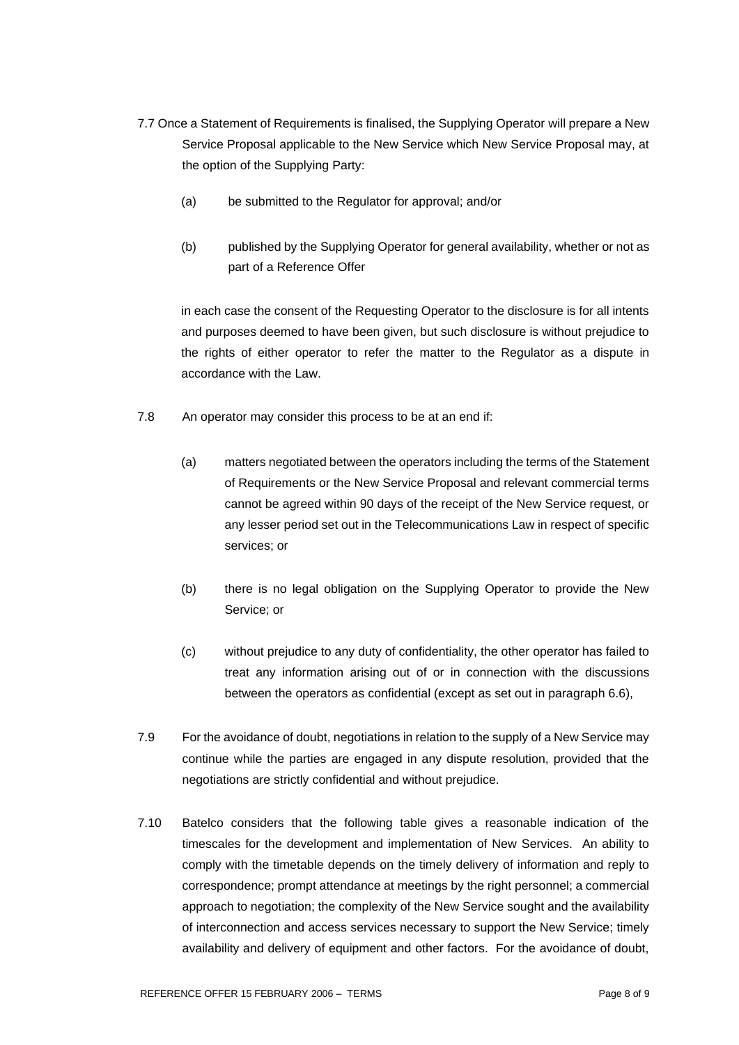- 7.7 Once a Statement of Requirements is finalised, the Supplying Operator will prepare a New Service Proposal applicable to the New Service which New Service Proposal may, at the option of the Supplying Party:
	- (a) be submitted to the Regulator for approval; and/or
	- (b) published by the Supplying Operator for general availability, whether or not as part of a Reference Offer

in each case the consent of the Requesting Operator to the disclosure is for all intents and purposes deemed to have been given, but such disclosure is without prejudice to the rights of either operator to refer the matter to the Regulator as a dispute in accordance with the Law.

- 7.8 An operator may consider this process to be at an end if:
	- (a) matters negotiated between the operators including the terms of the Statement of Requirements or the New Service Proposal and relevant commercial terms cannot be agreed within 90 days of the receipt of the New Service request, or any lesser period set out in the Telecommunications Law in respect of specific services; or
	- (b) there is no legal obligation on the Supplying Operator to provide the New Service; or
	- (c) without prejudice to any duty of confidentiality, the other operator has failed to treat any information arising out of or in connection with the discussions between the operators as confidential (except as set out in paragraph 6.6),
- 7.9 For the avoidance of doubt, negotiations in relation to the supply of a New Service may continue while the parties are engaged in any dispute resolution, provided that the negotiations are strictly confidential and without prejudice.
- 7.10 Batelco considers that the following table gives a reasonable indication of the timescales for the development and implementation of New Services. An ability to comply with the timetable depends on the timely delivery of information and reply to correspondence; prompt attendance at meetings by the right personnel; a commercial approach to negotiation; the complexity of the New Service sought and the availability of interconnection and access services necessary to support the New Service; timely availability and delivery of equipment and other factors. For the avoidance of doubt,